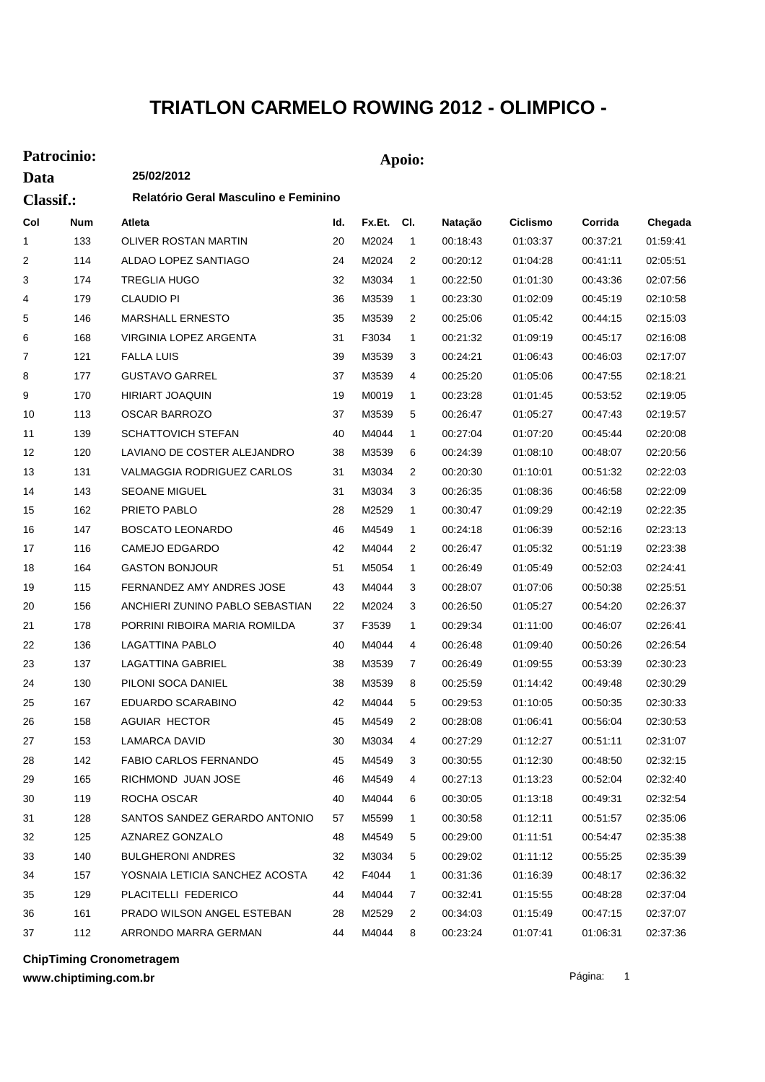## **TRIATLON CARMELO ROWING 2012 - OLIMPICO -**

## **Patrocinio: Apoio:**

| Data<br><b>Classif.:</b> |            | 25/02/2012                           |     |        |                |          |                 |          |          |
|--------------------------|------------|--------------------------------------|-----|--------|----------------|----------|-----------------|----------|----------|
|                          |            | Relatório Geral Masculino e Feminino |     |        |                |          |                 |          |          |
| Col                      | <b>Num</b> | Atleta                               | ld. | Fx.Et. | CI.            | Natação  | <b>Ciclismo</b> | Corrida  | Chegada  |
| 1                        | 133        | OLIVER ROSTAN MARTIN                 | 20  | M2024  | $\mathbf{1}$   | 00:18:43 | 01:03:37        | 00:37:21 | 01:59:41 |
| $\overline{2}$           | 114        | ALDAO LOPEZ SANTIAGO                 | 24  | M2024  | 2              | 00:20:12 | 01:04:28        | 00:41:11 | 02:05:51 |
| 3                        | 174        | TREGLIA HUGO                         | 32  | M3034  | $\mathbf{1}$   | 00:22:50 | 01:01:30        | 00:43:36 | 02:07:56 |
| 4                        | 179        | <b>CLAUDIO PI</b>                    | 36  | M3539  | 1              | 00:23:30 | 01:02:09        | 00:45:19 | 02:10:58 |
| 5                        | 146        | <b>MARSHALL ERNESTO</b>              | 35  | M3539  | $\overline{2}$ | 00:25:06 | 01:05:42        | 00:44:15 | 02:15:03 |
| 6                        | 168        | VIRGINIA LOPEZ ARGENTA               | 31  | F3034  | 1              | 00:21:32 | 01:09:19        | 00:45:17 | 02:16:08 |
| 7                        | 121        | <b>FALLA LUIS</b>                    | 39  | M3539  | 3              | 00:24:21 | 01:06:43        | 00:46:03 | 02:17:07 |
| 8                        | 177        | <b>GUSTAVO GARREL</b>                | 37  | M3539  | 4              | 00:25:20 | 01:05:06        | 00:47:55 | 02:18:21 |
| 9                        | 170        | <b>HIRIART JOAQUIN</b>               | 19  | M0019  | 1              | 00:23:28 | 01:01:45        | 00:53:52 | 02:19:05 |
| 10                       | 113        | <b>OSCAR BARROZO</b>                 | 37  | M3539  | 5              | 00:26:47 | 01:05:27        | 00:47:43 | 02:19:57 |
| 11                       | 139        | <b>SCHATTOVICH STEFAN</b>            | 40  | M4044  | 1              | 00:27:04 | 01:07:20        | 00:45:44 | 02:20:08 |
| 12                       | 120        | LAVIANO DE COSTER ALEJANDRO          | 38  | M3539  | 6              | 00:24:39 | 01:08:10        | 00:48:07 | 02:20:56 |
| 13                       | 131        | VALMAGGIA RODRIGUEZ CARLOS           | 31  | M3034  | 2              | 00:20:30 | 01:10:01        | 00:51:32 | 02:22:03 |
| 14                       | 143        | <b>SEOANE MIGUEL</b>                 | 31  | M3034  | 3              | 00:26:35 | 01:08:36        | 00:46:58 | 02:22:09 |
| 15                       | 162        | PRIETO PABLO                         | 28  | M2529  | 1              | 00:30:47 | 01:09:29        | 00:42:19 | 02:22:35 |
| 16                       | 147        | BOSCATO LEONARDO                     | 46  | M4549  | 1              | 00:24:18 | 01:06:39        | 00:52:16 | 02:23:13 |
| 17                       | 116        | CAMEJO EDGARDO                       | 42  | M4044  | 2              | 00:26:47 | 01:05:32        | 00:51:19 | 02:23:38 |
| 18                       | 164        | <b>GASTON BONJOUR</b>                | 51  | M5054  | 1              | 00:26:49 | 01:05:49        | 00:52:03 | 02:24:41 |
| 19                       | 115        | FERNANDEZ AMY ANDRES JOSE            | 43  | M4044  | 3              | 00:28:07 | 01:07:06        | 00:50:38 | 02:25:51 |
| 20                       | 156        | ANCHIERI ZUNINO PABLO SEBASTIAN      | 22  | M2024  | 3              | 00:26:50 | 01:05:27        | 00:54:20 | 02:26:37 |
| 21                       | 178        | PORRINI RIBOIRA MARIA ROMILDA        | 37  | F3539  | 1              | 00:29:34 | 01:11:00        | 00:46:07 | 02:26:41 |
| 22                       | 136        | LAGATTINA PABLO                      | 40  | M4044  | 4              | 00:26:48 | 01:09:40        | 00:50:26 | 02:26:54 |
| 23                       | 137        | <b>LAGATTINA GABRIEL</b>             | 38  | M3539  | 7              | 00:26:49 | 01:09:55        | 00:53:39 | 02:30:23 |
| 24                       | 130        | PILONI SOCA DANIEL                   | 38  | M3539  | 8              | 00:25:59 | 01:14:42        | 00:49:48 | 02:30:29 |
| 25                       | 167        | EDUARDO SCARABINO                    | 42  | M4044  | 5              | 00:29:53 | 01:10:05        | 00:50:35 | 02:30:33 |
| 26                       | 158        | <b>AGUIAR HECTOR</b>                 | 45  | M4549  | 2              | 00:28:08 | 01:06:41        | 00:56:04 | 02:30:53 |
| 27                       | 153        | LAMARCA DAVID                        | 30  | M3034  | 4              | 00:27:29 | 01:12:27        | 00:51:11 | 02:31:07 |
| 28                       | 142        | FABIO CARLOS FERNANDO                | 45  | M4549  | 3              | 00:30:55 | 01:12:30        | 00:48:50 | 02:32:15 |
| 29                       | 165        | RICHMOND JUAN JOSE                   | 46  | M4549  | 4              | 00:27:13 | 01:13:23        | 00:52:04 | 02:32:40 |
| 30                       | 119        | ROCHA OSCAR                          | 40  | M4044  | 6              | 00:30:05 | 01:13:18        | 00:49:31 | 02:32:54 |
| 31                       | 128        | SANTOS SANDEZ GERARDO ANTONIO        | 57  | M5599  | 1              | 00:30:58 | 01:12:11        | 00:51:57 | 02:35:06 |
| 32                       | 125        | AZNAREZ GONZALO                      | 48  | M4549  | 5              | 00:29:00 | 01:11:51        | 00:54:47 | 02:35:38 |
| 33                       | 140        | <b>BULGHERONI ANDRES</b>             | 32  | M3034  | 5              | 00:29:02 | 01:11:12        | 00:55:25 | 02:35:39 |
| 34                       | 157        | YOSNAIA LETICIA SANCHEZ ACOSTA       | 42  | F4044  | 1              | 00:31:36 | 01:16:39        | 00:48:17 | 02:36:32 |
| 35                       | 129        | PLACITELLI FEDERICO                  | 44  | M4044  | 7              | 00:32:41 | 01:15:55        | 00:48:28 | 02:37:04 |
| 36                       | 161        | PRADO WILSON ANGEL ESTEBAN           | 28  | M2529  | 2              | 00:34:03 | 01:15:49        | 00:47:15 | 02:37:07 |
| 37                       | 112        | ARRONDO MARRA GERMAN                 | 44  | M4044  | 8              | 00:23:24 | 01:07:41        | 01:06:31 | 02:37:36 |

**ChipTiming Cronometragem**

**www.chiptiming.com.br**

Página: 1